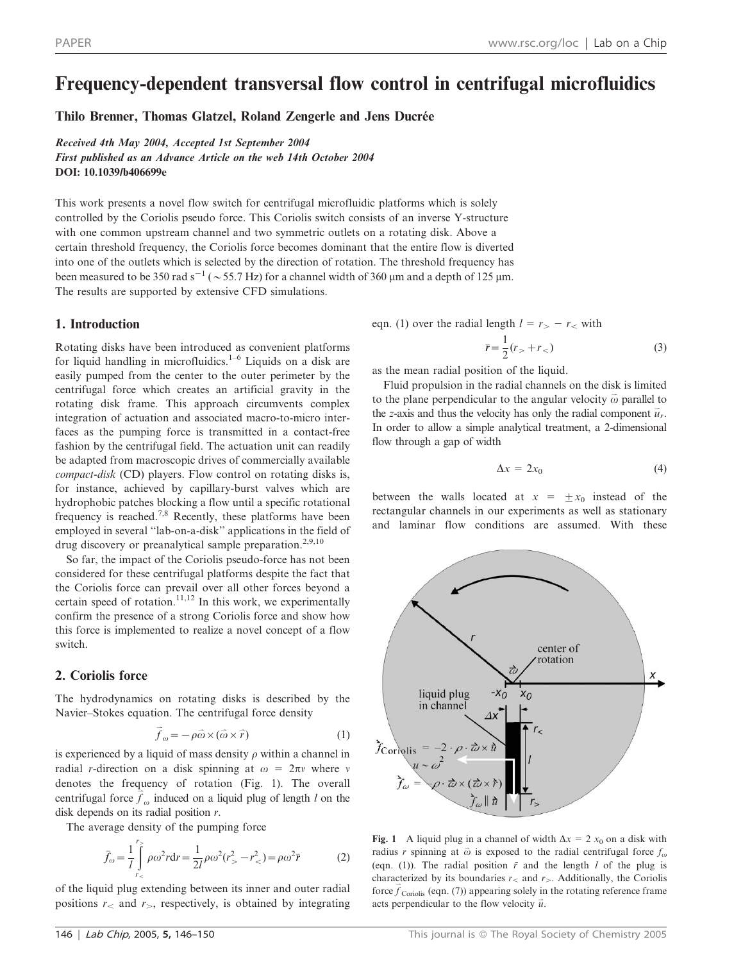# Frequency-dependent transversal flow control in centrifugal microfluidics

Thilo Brenner, Thomas Glatzel, Roland Zengerle and Jens Ducrée

Received 4th May 2004, Accepted 1st September 2004 First published as an Advance Article on the web 14th October 2004 DOI: 10.1039/b406699e

This work presents a novel flow switch for centrifugal microfluidic platforms which is solely controlled by the Coriolis pseudo force. This Coriolis switch consists of an inverse Y-structure with one common upstream channel and two symmetric outlets on a rotating disk. Above a certain threshold frequency, the Coriolis force becomes dominant that the entire flow is diverted into one of the outlets which is selected by the direction of rotation. The threshold frequency has been measured to be 350 rad s<sup>-1</sup> ( $\sim$  55.7 Hz) for a channel width of 360 µm and a depth of 125 µm. The results are supported by extensive CFD simulations.

# 1. Introduction

Rotating disks have been introduced as convenient platforms for liquid handling in microfluidics.<sup>1–6</sup> Liquids on a disk are easily pumped from the center to the outer perimeter by the centrifugal force which creates an artificial gravity in the rotating disk frame. This approach circumvents complex integration of actuation and associated macro-to-micro interfaces as the pumping force is transmitted in a contact-free fashion by the centrifugal field. The actuation unit can readily be adapted from macroscopic drives of commercially available compact-disk (CD) players. Flow control on rotating disks is, for instance, achieved by capillary-burst valves which are hydrophobic patches blocking a flow until a specific rotational frequency is reached.<sup>7,8</sup> Recently, these platforms have been employed in several ''lab-on-a-disk'' applications in the field of drug discovery or preanalytical sample preparation.<sup>2,9,10</sup>

So far, the impact of the Coriolis pseudo-force has not been considered for these centrifugal platforms despite the fact that the Coriolis force can prevail over all other forces beyond a certain speed of rotation. $11,12$  In this work, we experimentally confirm the presence of a strong Coriolis force and show how this force is implemented to realize a novel concept of a flow switch.

# 2. Coriolis force

The hydrodynamics on rotating disks is described by the Navier–Stokes equation. The centrifugal force density

$$
\vec{f}_{\omega} = -\rho \vec{\omega} \times (\vec{\omega} \times \vec{r}) \tag{1}
$$

is experienced by a liquid of mass density  $\rho$  within a channel in radial r-direction on a disk spinning at  $\omega = 2\pi v$  where v denotes the frequency of rotation (Fig. 1). The overall centrifugal force  $\hat{f}_{\omega}$  induced on a liquid plug of length l on the disk depends on its radial position  $r$ .

The average density of the pumping force

$$
\bar{f}_{\omega} = \frac{1}{l} \int_{r_{<}}^{r_{>}} \rho \omega^2 r dr = \frac{1}{2l} \rho \omega^2 (r_{>}^2 - r_{<}^2) = \rho \omega^2 \bar{r}
$$
 (2)

of the liquid plug extending between its inner and outer radial positions  $r_{\le}$  and  $r_{\ge}$ , respectively, is obtained by integrating

eqn. (1) over the radial length 
$$
l = r_{>} - r_{<}
$$
 with  

$$
\bar{r} = \frac{1}{2}(r_{>} + r_{<})
$$
(3)

as the mean radial position of the liquid.

Fluid propulsion in the radial channels on the disk is limited to the plane perpendicular to the angular velocity  $\vec{\omega}$  parallel to the z-axis and thus the velocity has only the radial component  $\vec{u}_r$ . In order to allow a simple analytical treatment, a 2-dimensional flow through a gap of width

$$
\Delta x = 2x_0 \tag{4}
$$

between the walls located at  $x = \pm x_0$  instead of the rectangular channels in our experiments as well as stationary and laminar flow conditions are assumed. With these



Fig. 1 A liquid plug in a channel of width  $\Delta x = 2 x_0$  on a disk with radius r spinning at  $\vec{\omega}$  is exposed to the radial centrifugal force  $f_{\omega}$ (eqn. (1)). The radial position  $\bar{r}$  and the length l of the plug is characterized by its boundaries  $r_{\le}$  and  $r_{\ge}$ . Additionally, the Coriolis force  $\vec{f}$  coriolis (eqn. (7)) appearing solely in the rotating reference frame acts perpendicular to the flow velocity  $\vec{u}$ .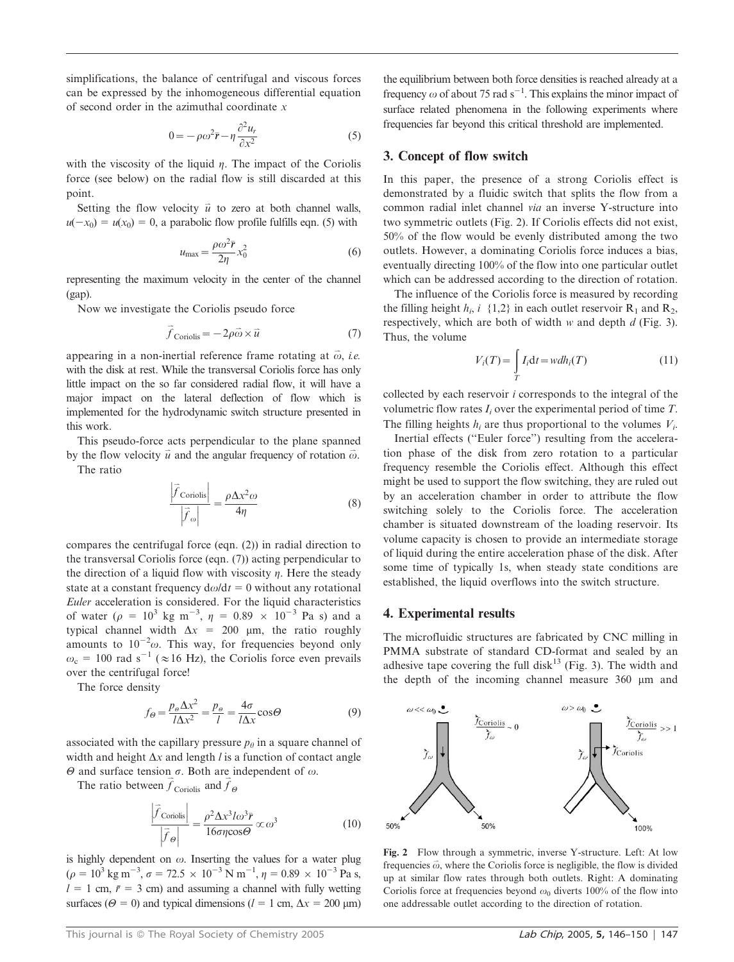simplifications, the balance of centrifugal and viscous forces can be expressed by the inhomogeneous differential equation of second order in the azimuthal coordinate  $x$ 

$$
0 = -\rho \omega^2 \bar{r} - \eta \frac{\partial^2 u_r}{\partial x^2}
$$
 (5)

with the viscosity of the liquid  $\eta$ . The impact of the Coriolis force (see below) on the radial flow is still discarded at this point.

Setting the flow velocity  $\vec{u}$  to zero at both channel walls,  $u(-x_0) = u(x_0) = 0$ , a parabolic flow profile fulfills eqn. (5) with

$$
u_{\text{max}} = \frac{\rho \omega^2 \bar{r}}{2\eta} x_0^2 \tag{6}
$$

representing the maximum velocity in the center of the channel (gap).

Now we investigate the Coriolis pseudo force

$$
\vec{f}_{\text{Coriolis}} = -2\rho \vec{\omega} \times \vec{u} \tag{7}
$$

appearing in a non-inertial reference frame rotating at  $\vec{\omega}$ , *i.e.* with the disk at rest. While the transversal Coriolis force has only little impact on the so far considered radial flow, it will have a major impact on the lateral deflection of flow which is implemented for the hydrodynamic switch structure presented in this work.

This pseudo-force acts perpendicular to the plane spanned by the flow velocity  $\vec{u}$  and the angular frequency of rotation  $\vec{\omega}$ .

The ratio

$$
\frac{\left|\vec{f}_{\text{Coriolis}}\right|}{\left|\vec{f}_{\omega}\right|} = \frac{\rho \Delta x^2 \omega}{4\eta} \tag{8}
$$

compares the centrifugal force (eqn. (2)) in radial direction to the transversal Coriolis force (eqn. (7)) acting perpendicular to the direction of a liquid flow with viscosity  $\eta$ . Here the steady state at a constant frequency  $d\omega/dt = 0$  without any rotational Euler acceleration is considered. For the liquid characteristics of water ( $\rho = 10^3$  kg m<sup>-3</sup>,  $\eta = 0.89 \times 10^{-3}$  Pa s) and a typical channel width  $\Delta x = 200$  µm, the ratio roughly amounts to  $10^{-2}\omega$ . This way, for frequencies beyond only  $\omega_c = 100$  rad s<sup>-1</sup> ( $\approx 16$  Hz), the Coriolis force even prevails over the centrifugal force!

The force density

$$
f_{\Theta} = \frac{p_{\Theta} \Delta x^2}{l \Delta x^2} = \frac{p_{\Theta}}{l} = \frac{4\sigma}{l \Delta x} \cos \Theta \tag{9}
$$

associated with the capillary pressure  $p_{\theta}$  in a square channel of width and height  $\Delta x$  and length l is a function of contact angle  $\Theta$  and surface tension  $\sigma$ . Both are independent of  $\omega$ .

The ratio between  $\vec{f}$  Coriolis and  $\vec{f}$  $\Theta$ 

$$
\frac{\left|\vec{f}_{\text{Coriolis}}\right|}{\left|\vec{f}_{\theta}\right|} = \frac{\rho^2 \Delta x^3 I \omega^3 \vec{r}}{16 \sigma \eta \cos \theta} \propto \omega^3 \tag{10}
$$

is highly dependent on  $\omega$ . Inserting the values for a water plug  $(\rho = 10^3 \text{ kg m}^{-3}, \sigma = 72.5 \times 10^{-3} \text{ N m}^{-1}, \eta = 0.89 \times 10^{-3} \text{ Pa s},$  $l = 1$  cm,  $\bar{r} = 3$  cm) and assuming a channel with fully wetting surfaces ( $\Theta = 0$ ) and typical dimensions ( $l = 1$  cm,  $\Delta x = 200$  µm) the equilibrium between both force densities is reached already at a frequency  $\omega$  of about 75 rad s<sup>-1</sup>. This explains the minor impact of surface related phenomena in the following experiments where frequencies far beyond this critical threshold are implemented.

## 3. Concept of flow switch

In this paper, the presence of a strong Coriolis effect is demonstrated by a fluidic switch that splits the flow from a common radial inlet channel via an inverse Y-structure into two symmetric outlets (Fig. 2). If Coriolis effects did not exist, 50% of the flow would be evenly distributed among the two outlets. However, a dominating Coriolis force induces a bias, eventually directing 100% of the flow into one particular outlet which can be addressed according to the direction of rotation.

The influence of the Coriolis force is measured by recording the filling height  $h_i$ ,  $i \{1,2\}$  in each outlet reservoir  $R_1$  and  $R_2$ , respectively, which are both of width  $w$  and depth  $d$  (Fig. 3). Thus, the volume

$$
V_i(T) = \int\limits_T I_i \mathrm{d}t = w dh_i(T) \tag{11}
$$

collected by each reservoir i corresponds to the integral of the volumetric flow rates  $I_i$  over the experimental period of time  $T$ . The filling heights  $h_i$  are thus proportional to the volumes  $V_i$ .

Inertial effects (''Euler force'') resulting from the acceleration phase of the disk from zero rotation to a particular frequency resemble the Coriolis effect. Although this effect might be used to support the flow switching, they are ruled out by an acceleration chamber in order to attribute the flow switching solely to the Coriolis force. The acceleration chamber is situated downstream of the loading reservoir. Its volume capacity is chosen to provide an intermediate storage of liquid during the entire acceleration phase of the disk. After some time of typically 1s, when steady state conditions are established, the liquid overflows into the switch structure.

#### 4. Experimental results

The microfluidic structures are fabricated by CNC milling in PMMA substrate of standard CD-format and sealed by an adhesive tape covering the full disk<sup>13</sup> (Fig. 3). The width and the depth of the incoming channel measure  $360 \mu m$  and



Fig. 2 Flow through a symmetric, inverse Y-structure. Left: At low frequencies  $\vec{\omega}$ , where the Coriolis force is negligible, the flow is divided up at similar flow rates through both outlets. Right: A dominating Coriolis force at frequencies beyond  $\omega_0$  diverts 100% of the flow into one addressable outlet according to the direction of rotation.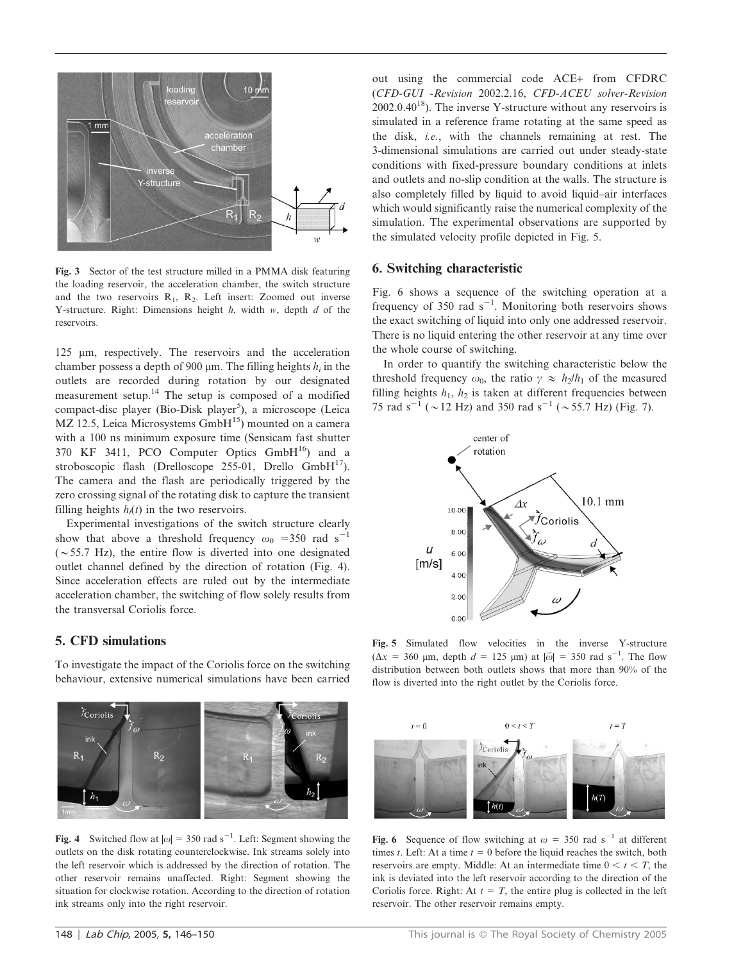

Fig. 3 Sector of the test structure milled in a PMMA disk featuring the loading reservoir, the acceleration chamber, the switch structure and the two reservoirs  $R_1$ ,  $R_2$ . Left insert: Zoomed out inverse Y-structure. Right: Dimensions height  $h$ , width  $w$ , depth  $d$  of the reservoirs.

125 mm, respectively. The reservoirs and the acceleration chamber possess a depth of 900  $\mu$ m. The filling heights  $h_i$  in the outlets are recorded during rotation by our designated measurement setup.<sup>14</sup> The setup is composed of a modified compact-disc player (Bio-Disk player<sup>5</sup>), a microscope (Leica  $MZ$  12.5, Leica Microsystems GmbH $^{15}$ ) mounted on a camera with a 100 ns minimum exposure time (Sensicam fast shutter 370 KF 3411, PCO Computer Optics  $GmbH<sup>16</sup>$  and a stroboscopic flash (Drelloscope 255-01, Drello  $GmbH^{17}$ ). The camera and the flash are periodically triggered by the zero crossing signal of the rotating disk to capture the transient filling heights  $h_i(t)$  in the two reservoirs.

Experimental investigations of the switch structure clearly show that above a threshold frequency  $\omega_0$  =350 rad s<sup>-1</sup>  $(\sim 55.7 \text{ Hz})$ , the entire flow is diverted into one designated outlet channel defined by the direction of rotation (Fig. 4). Since acceleration effects are ruled out by the intermediate acceleration chamber, the switching of flow solely results from the transversal Coriolis force.

## 5. CFD simulations

To investigate the impact of the Coriolis force on the switching behaviour, extensive numerical simulations have been carried



Fig. 4 Switched flow at  $|\omega| = 350$  rad s<sup>-1</sup>. Left: Segment showing the outlets on the disk rotating counterclockwise. Ink streams solely into the left reservoir which is addressed by the direction of rotation. The other reservoir remains unaffected. Right: Segment showing the situation for clockwise rotation. According to the direction of rotation ink streams only into the right reservoir.

out using the commercial code ACE*+* from CFDRC (CFD-GUI -Revision 2002.2.16, CFD-ACEU solver-Revision  $2002.0.40^{18}$ ). The inverse Y-structure without any reservoirs is simulated in a reference frame rotating at the same speed as the disk, i.e., with the channels remaining at rest. The 3-dimensional simulations are carried out under steady-state conditions with fixed-pressure boundary conditions at inlets and outlets and no-slip condition at the walls. The structure is also completely filled by liquid to avoid liquid–air interfaces which would significantly raise the numerical complexity of the simulation. The experimental observations are supported by the simulated velocity profile depicted in Fig. 5.

#### 6. Switching characteristic

Fig. 6 shows a sequence of the switching operation at a frequency of 350 rad  $s^{-1}$ . Monitoring both reservoirs shows the exact switching of liquid into only one addressed reservoir. There is no liquid entering the other reservoir at any time over the whole course of switching.

In order to quantify the switching characteristic below the threshold frequency  $\omega_0$ , the ratio  $\gamma \approx h_2/h_1$  of the measured filling heights  $h_1$ ,  $h_2$  is taken at different frequencies between 75 rad s<sup>-1</sup> ( $\sim$  12 Hz) and 350 rad s<sup>-1</sup> ( $\sim$  55.7 Hz) (Fig. 7).



Fig. 5 Simulated flow velocities in the inverse Y-structure  $(\Delta x = 360 \text{ µm}, \text{depth } d = 125 \text{ µm}) \text{ at } |\vec{\omega}| = 350 \text{ rad s}^{-1}.$  The flow distribution between both outlets shows that more than 90% of the flow is diverted into the right outlet by the Coriolis force.



Fig. 6 Sequence of flow switching at  $\omega = 350$  rad s<sup>-1</sup> at different times t. Left: At a time  $t = 0$  before the liquid reaches the switch, both reservoirs are empty. Middle: At an intermediate time  $0 < t < T$ , the ink is deviated into the left reservoir according to the direction of the Coriolis force. Right: At  $t = T$ , the entire plug is collected in the left reservoir. The other reservoir remains empty.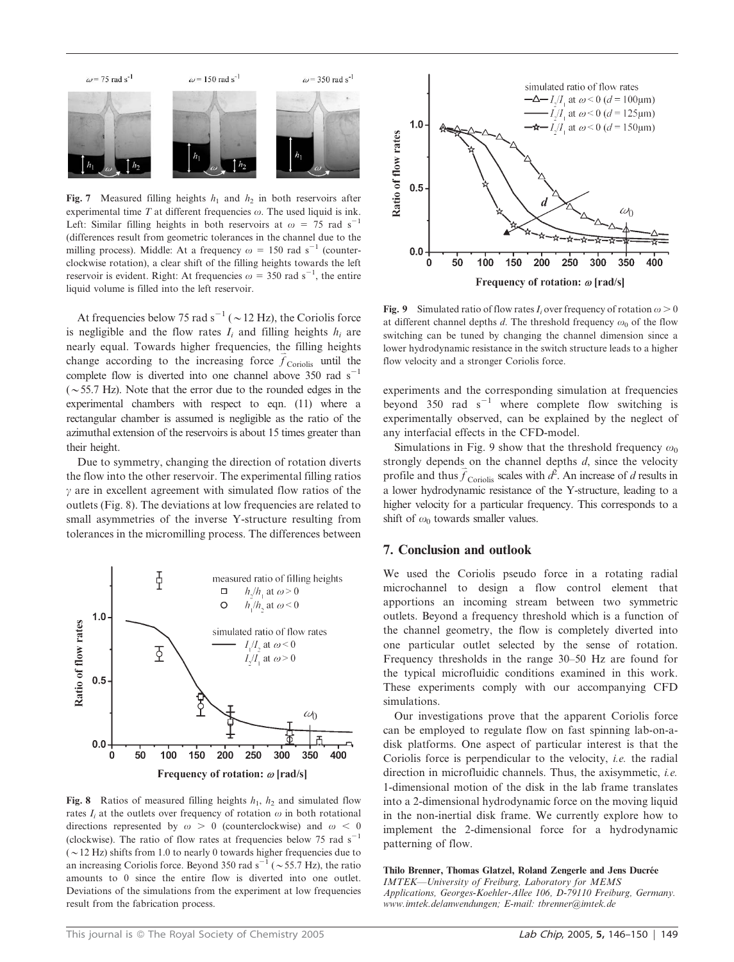

Fig. 7 Measured filling heights  $h_1$  and  $h_2$  in both reservoirs after experimental time  $T$  at different frequencies  $\omega$ . The used liquid is ink. Left: Similar filling heights in both reservoirs at  $\omega = 75$  rad s<sup>-1</sup> (differences result from geometric tolerances in the channel due to the milling process). Middle: At a frequency  $\omega = 150$  rad s<sup>-1</sup> (counterclockwise rotation), a clear shift of the filling heights towards the left reservoir is evident. Right: At frequencies  $\omega = 350$  rad s<sup>-1</sup>, the entire liquid volume is filled into the left reservoir.

At frequencies below 75 rad  $s^{-1}$  ( $\sim$  12 Hz), the Coriolis force is negligible and the flow rates  $I_i$  and filling heights  $h_i$  are nearly equal. Towards higher frequencies, the filling heights change according to the increasing force  $\vec{f}_{Coriolis}$  until the complete flow is diverted into one channel above 350 rad  $s^{-1}$  $(\sim 55.7 \text{ Hz})$ . Note that the error due to the rounded edges in the experimental chambers with respect to eqn. (11) where a rectangular chamber is assumed is negligible as the ratio of the azimuthal extension of the reservoirs is about 15 times greater than their height.

Due to symmetry, changing the direction of rotation diverts the flow into the other reservoir. The experimental filling ratios  $\gamma$  are in excellent agreement with simulated flow ratios of the outlets (Fig. 8). The deviations at low frequencies are related to small asymmetries of the inverse Y-structure resulting from tolerances in the micromilling process. The differences between



Fig. 8 Ratios of measured filling heights  $h_1$ ,  $h_2$  and simulated flow rates  $I_i$  at the outlets over frequency of rotation  $\omega$  in both rotational directions represented by  $\omega > 0$  (counterclockwise) and  $\omega < 0$ (clockwise). The ratio of flow rates at frequencies below 75 rad  $s^{-1}$  $({\sim}12 \text{ Hz})$  shifts from 1.0 to nearly 0 towards higher frequencies due to an increasing Coriolis force. Beyond 350 rad  $s^{-1}$  ( $\sim$  55.7 Hz), the ratio amounts to 0 since the entire flow is diverted into one outlet. Deviations of the simulations from the experiment at low frequencies result from the fabrication process.



Fig. 9 Simulated ratio of flow rates  $I_i$  over frequency of rotation  $\omega > 0$ at different channel depths d. The threshold frequency  $\omega_0$  of the flow switching can be tuned by changing the channel dimension since a lower hydrodynamic resistance in the switch structure leads to a higher flow velocity and a stronger Coriolis force.

experiments and the corresponding simulation at frequencies beyond 350 rad  $s^{-1}$  where complete flow switching is experimentally observed, can be explained by the neglect of any interfacial effects in the CFD-model.

Simulations in Fig. 9 show that the threshold frequency  $\omega_0$ strongly depends on the channel depths  $d$ , since the velocity profile and thus  $\vec{f}_{Coriolis}$  scales with  $\vec{d}$ . An increase of d results in a lower hydrodynamic resistance of the Y-structure, leading to a higher velocity for a particular frequency. This corresponds to a shift of  $\omega_0$  towards smaller values.

#### 7. Conclusion and outlook

We used the Coriolis pseudo force in a rotating radial microchannel to design a flow control element that apportions an incoming stream between two symmetric outlets. Beyond a frequency threshold which is a function of the channel geometry, the flow is completely diverted into one particular outlet selected by the sense of rotation. Frequency thresholds in the range 30–50 Hz are found for the typical microfluidic conditions examined in this work. These experiments comply with our accompanying CFD simulations.

Our investigations prove that the apparent Coriolis force can be employed to regulate flow on fast spinning lab-on-adisk platforms. One aspect of particular interest is that the Coriolis force is perpendicular to the velocity, i.e. the radial direction in microfluidic channels. Thus, the axisymmetic, *i.e.* 1-dimensional motion of the disk in the lab frame translates into a 2-dimensional hydrodynamic force on the moving liquid in the non-inertial disk frame. We currently explore how to implement the 2-dimensional force for a hydrodynamic patterning of flow.

Thilo Brenner, Thomas Glatzel, Roland Zengerle and Jens Ducrée IMTEK—University of Freiburg, Laboratory for MEMS Applications, Georges-Koehler-Allee 106, D-79110 Freiburg, Germany. www.imtek.de/anwendungen; E-mail: tbrenner@imtek.de